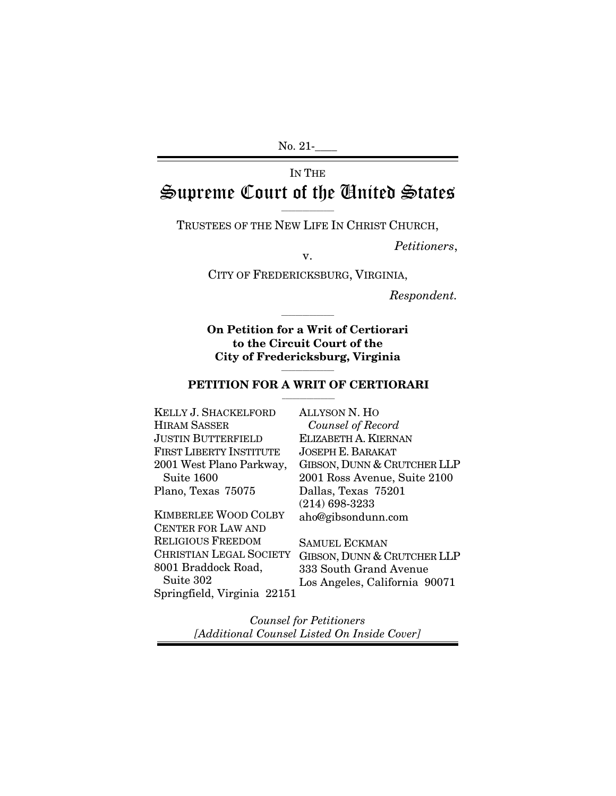No. 21-

# IN THE Supreme Court of the United States

 $\overline{\phantom{a}}$  ,  $\overline{\phantom{a}}$  ,  $\overline{\phantom{a}}$  ,  $\overline{\phantom{a}}$  ,  $\overline{\phantom{a}}$  ,  $\overline{\phantom{a}}$  ,  $\overline{\phantom{a}}$  ,  $\overline{\phantom{a}}$  ,  $\overline{\phantom{a}}$  ,  $\overline{\phantom{a}}$  ,  $\overline{\phantom{a}}$  ,  $\overline{\phantom{a}}$  ,  $\overline{\phantom{a}}$  ,  $\overline{\phantom{a}}$  ,  $\overline{\phantom{a}}$  ,  $\overline{\phantom{a}}$ TRUSTEES OF THE NEW LIFE IN CHRIST CHURCH,

*Petitioners*, v.

CITY OF FREDERICKSBURG, VIRGINIA,

*Respondent.* 

**On Petition for a Writ of Certiorari to the Circuit Court of the City of Fredericksburg, Virginia** 

 $\overline{\phantom{a}}$  ,  $\overline{\phantom{a}}$  ,  $\overline{\phantom{a}}$  ,  $\overline{\phantom{a}}$  ,  $\overline{\phantom{a}}$  ,  $\overline{\phantom{a}}$  ,  $\overline{\phantom{a}}$  ,  $\overline{\phantom{a}}$  ,  $\overline{\phantom{a}}$  ,  $\overline{\phantom{a}}$  ,  $\overline{\phantom{a}}$  ,  $\overline{\phantom{a}}$  ,  $\overline{\phantom{a}}$  ,  $\overline{\phantom{a}}$  ,  $\overline{\phantom{a}}$  ,  $\overline{\phantom{a}}$ 

#### $\overline{\phantom{a}}$  , and the contract of the contract of  $\overline{\phantom{a}}$ **PETITION FOR A WRIT OF CERTIORARI**  $\overline{\phantom{a}}$  , where  $\overline{\phantom{a}}$

KELLY J. SHACKELFORD HIRAM SASSER JUSTIN BUTTERFIELD FIRST LIBERTY INSTITUTE 2001 West Plano Parkway, Suite 1600 Plano, Texas 75075

KIMBERLEE WOOD COLBY CENTER FOR LAW AND RELIGIOUS FREEDOM 8001 Braddock Road, Suite 302 Springfield, Virginia 22151

ALLYSON N. HO *Counsel of Record* ELIZABETH A. KIERNAN JOSEPH E. BARAKAT GIBSON, DUNN & CRUTCHER LLP 2001 Ross Avenue, Suite 2100 Dallas, Texas 75201 (214) 698-3233 aho@gibsondunn.com

CHRISTIAN LEGAL SOCIETY GIBSON, DUNN & CRUTCHER LLP SAMUEL ECKMAN 333 South Grand Avenue Los Angeles, California 90071

> *Counsel for Petitioners [Additional Counsel Listed On Inside Cover]*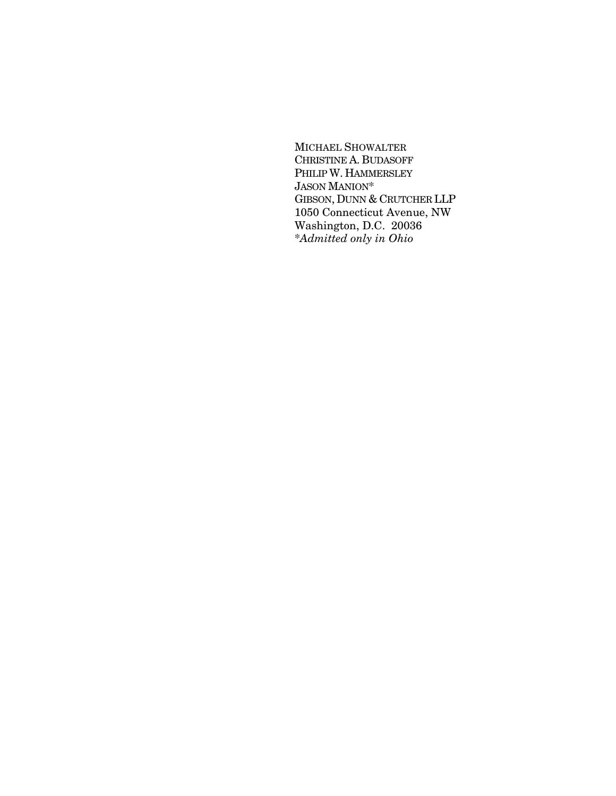MICHAEL SHOWALTER CHRISTINE A. BUDASOFF PHILIP W. HAMMERSLEY JASON MANION\* GIBSON, DUNN & CRUTCHER LLP 1050 Connecticut Avenue, NW Washington, D.C. 20036 \**Admitted only in Ohio*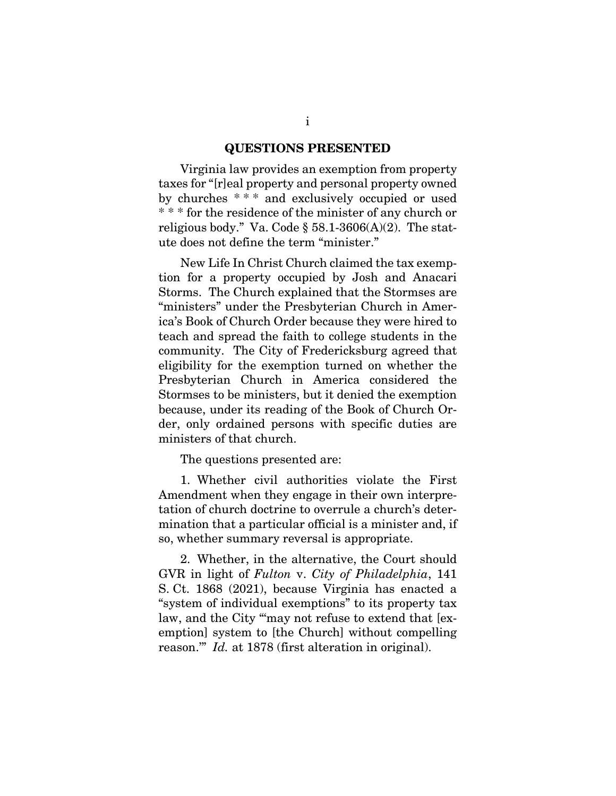#### **QUESTIONS PRESENTED**

Virginia law provides an exemption from property taxes for "[r]eal property and personal property owned by churches \* \* \* and exclusively occupied or used \* \* \* for the residence of the minister of any church or religious body." Va. Code  $\S$  58.1-3606(A)(2). The statute does not define the term "minister."

New Life In Christ Church claimed the tax exemption for a property occupied by Josh and Anacari Storms. The Church explained that the Stormses are "ministers" under the Presbyterian Church in America's Book of Church Order because they were hired to teach and spread the faith to college students in the community. The City of Fredericksburg agreed that eligibility for the exemption turned on whether the Presbyterian Church in America considered the Stormses to be ministers, but it denied the exemption because, under its reading of the Book of Church Order, only ordained persons with specific duties are ministers of that church.

The questions presented are:

1. Whether civil authorities violate the First Amendment when they engage in their own interpretation of church doctrine to overrule a church's determination that a particular official is a minister and, if so, whether summary reversal is appropriate.

2. Whether, in the alternative, the Court should GVR in light of *Fulton* v. *City of Philadelphia*, 141 S. Ct. 1868 (2021), because Virginia has enacted a "system of individual exemptions" to its property tax law, and the City "may not refuse to extend that [exemption] system to [the Church] without compelling reason.'" *Id.* at 1878 (first alteration in original).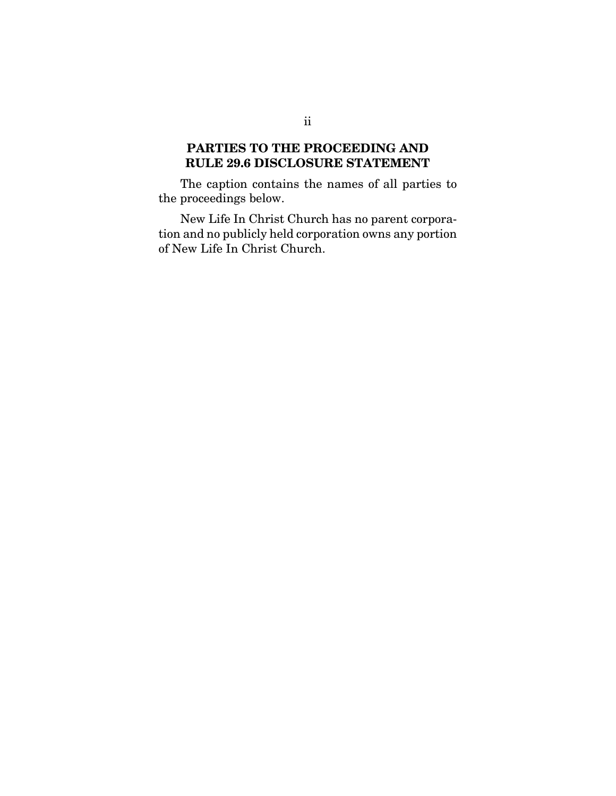## **PARTIES TO THE PROCEEDING AND RULE 29.6 DISCLOSURE STATEMENT**

The caption contains the names of all parties to the proceedings below.

New Life In Christ Church has no parent corporation and no publicly held corporation owns any portion of New Life In Christ Church.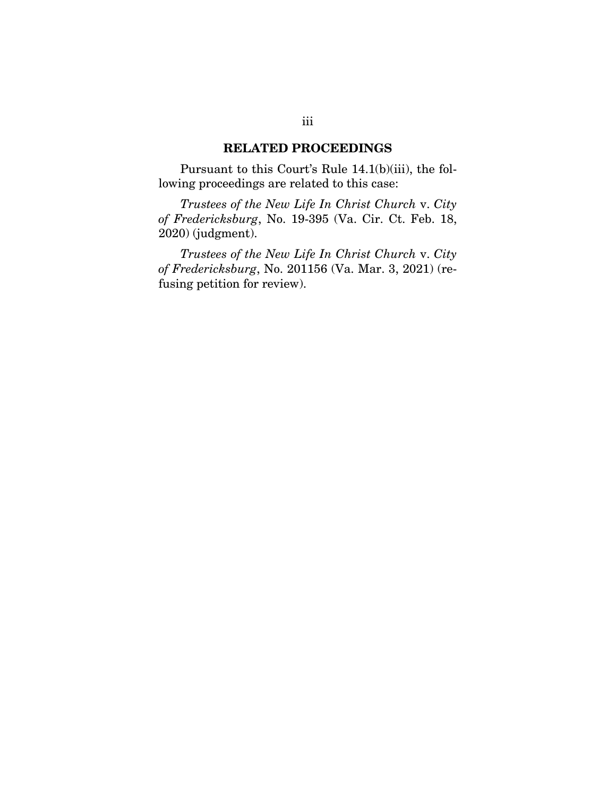#### **RELATED PROCEEDINGS**

Pursuant to this Court's Rule 14.1(b)(iii), the following proceedings are related to this case:

*Trustees of the New Life In Christ Church* v. *City of Fredericksburg*, No. 19-395 (Va. Cir. Ct. Feb. 18, 2020) (judgment).

*Trustees of the New Life In Christ Church* v. *City of Fredericksburg*, No. 201156 (Va. Mar. 3, 2021) (refusing petition for review).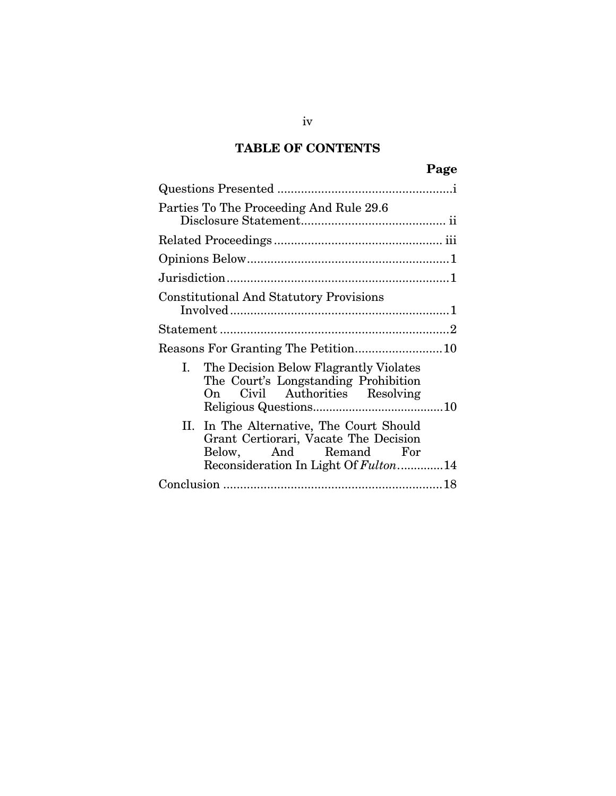# **TABLE OF CONTENTS**

| Parties To The Proceeding And Rule 29.6                                                                                                              |  |  |  |  |
|------------------------------------------------------------------------------------------------------------------------------------------------------|--|--|--|--|
|                                                                                                                                                      |  |  |  |  |
|                                                                                                                                                      |  |  |  |  |
|                                                                                                                                                      |  |  |  |  |
| <b>Constitutional And Statutory Provisions</b>                                                                                                       |  |  |  |  |
|                                                                                                                                                      |  |  |  |  |
|                                                                                                                                                      |  |  |  |  |
| Ι.<br>The Decision Below Flagrantly Violates<br>The Court's Longstanding Prohibition<br>Civil Authorities Resolving<br>On —                          |  |  |  |  |
| In The Alternative, The Court Should<br>П.<br>Grant Certiorari, Vacate The Decision<br>Below, And Remand For<br>Reconsideration In Light Of Fulton14 |  |  |  |  |
|                                                                                                                                                      |  |  |  |  |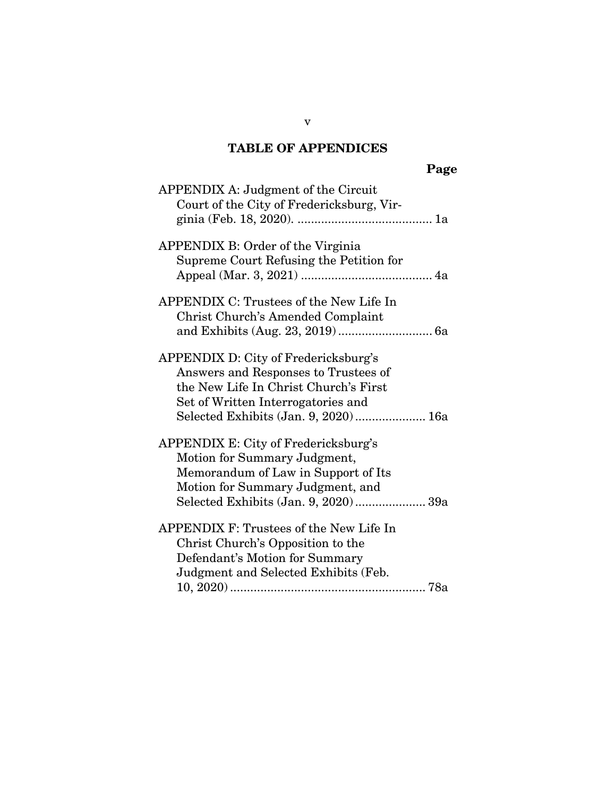# **TABLE OF APPENDICES**

| ۰. |
|----|
|----|

| APPENDIX A: Judgment of the Circuit<br>Court of the City of Fredericksburg, Vir-                                                                                                                    |
|-----------------------------------------------------------------------------------------------------------------------------------------------------------------------------------------------------|
| APPENDIX B: Order of the Virginia<br>Supreme Court Refusing the Petition for                                                                                                                        |
| APPENDIX C: Trustees of the New Life In<br>Christ Church's Amended Complaint                                                                                                                        |
| APPENDIX D: City of Fredericksburg's<br>Answers and Responses to Trustees of<br>the New Life In Christ Church's First<br>Set of Written Interrogatories and<br>Selected Exhibits (Jan. 9, 2020) 16a |
| APPENDIX E: City of Fredericksburg's<br>Motion for Summary Judgment,<br>Memorandum of Law in Support of Its<br>Motion for Summary Judgment, and<br>Selected Exhibits (Jan. 9, 2020) 39a             |
| APPENDIX F: Trustees of the New Life In<br>Christ Church's Opposition to the<br>Defendant's Motion for Summary<br>Judgment and Selected Exhibits (Feb.                                              |

v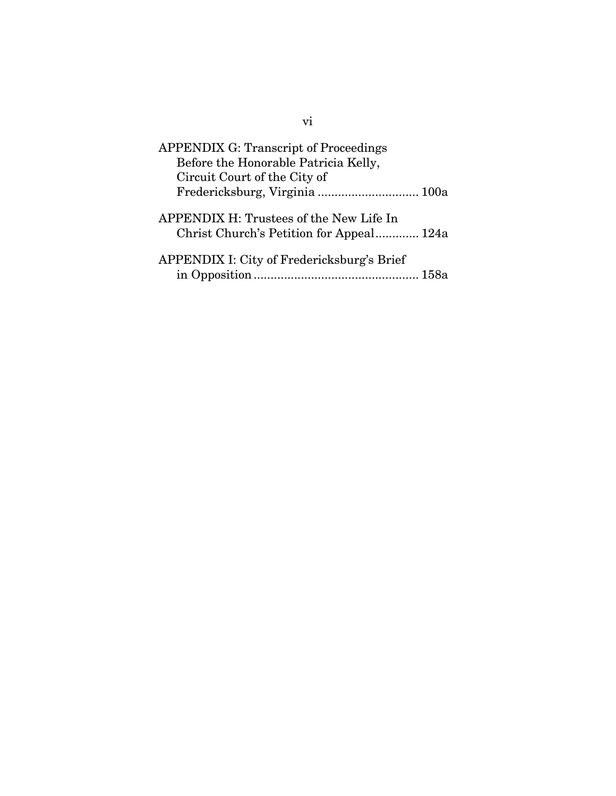| <b>APPENDIX G: Transcript of Proceedings</b>                                        |  |
|-------------------------------------------------------------------------------------|--|
| Before the Honorable Patricia Kelly,<br>Circuit Court of the City of                |  |
| Fredericksburg, Virginia  100a                                                      |  |
| APPENDIX H: Trustees of the New Life In<br>Christ Church's Petition for Appeal 124a |  |
| APPENDIX I: City of Fredericksburg's Brief                                          |  |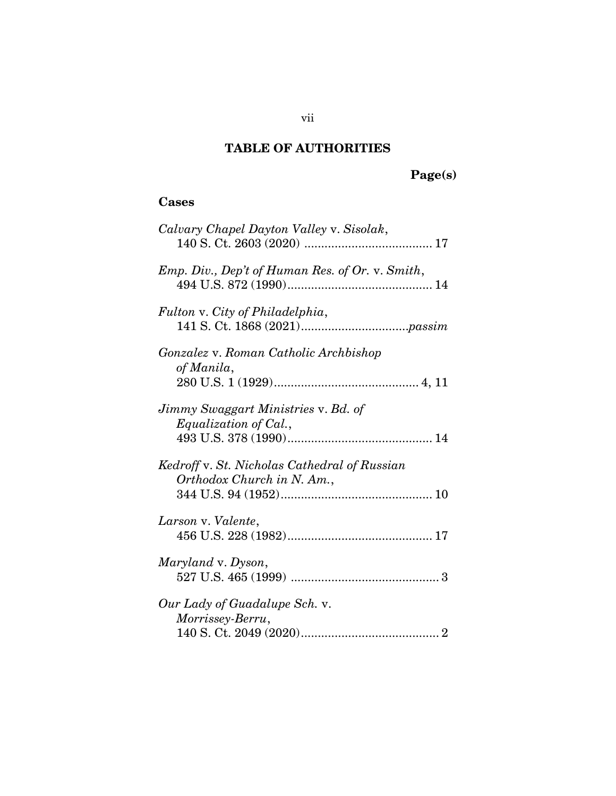# **TABLE OF AUTHORITIES**

# **Page(s)**

## **Cases**

| Calvary Chapel Dayton Valley v. Sisolak,                                   |
|----------------------------------------------------------------------------|
| Emp. Div., Dep't of Human Res. of Or. v. Smith,                            |
| Fulton v. City of Philadelphia,                                            |
| Gonzalez v. Roman Catholic Archbishop<br>of Manila,                        |
| Jimmy Swaggart Ministries v. Bd. of<br>Equalization of Cal.,               |
| Kedroff v. St. Nicholas Cathedral of Russian<br>Orthodox Church in N. Am., |
| Larson v. Valente,                                                         |
| Maryland v. Dyson,                                                         |
| Our Lady of Guadalupe Sch. v.<br>Morrissey-Berru,                          |

vii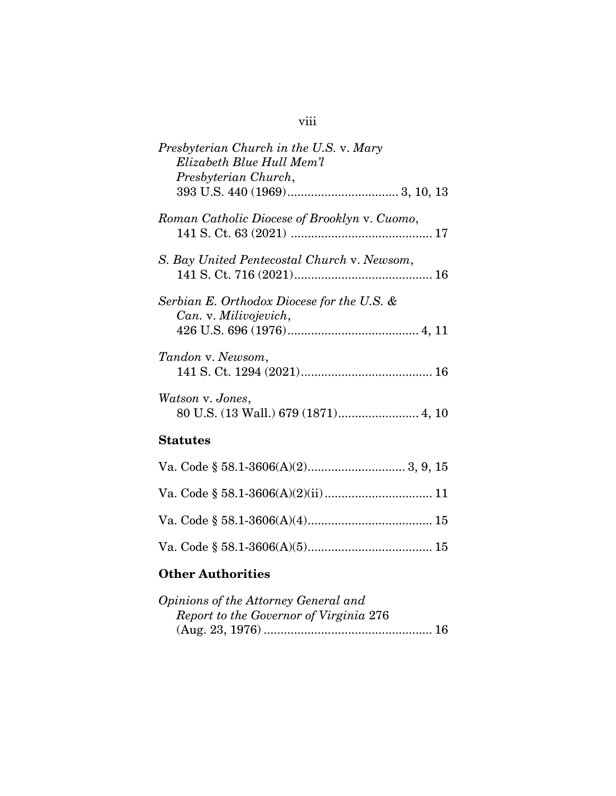| Presbyterian Church in the U.S. v. Mary<br>Elizabeth Blue Hull Mem'l<br>Presbyterian Church, |
|----------------------------------------------------------------------------------------------|
| Roman Catholic Diocese of Brooklyn v. Cuomo,                                                 |
| S. Bay United Pentecostal Church v. Newsom,                                                  |
| Serbian E. Orthodox Diocese for the U.S. &<br>Can. v. Milivojevich,                          |
| Tandon v. Newsom,                                                                            |
| Watson v. Jones,<br>80 U.S. (13 Wall.) 679 (1871) 4, 10                                      |
| <b>Statutes</b>                                                                              |
|                                                                                              |
|                                                                                              |
|                                                                                              |

## **Other Authorities**

| Opinions of the Attorney General and   |  |
|----------------------------------------|--|
| Report to the Governor of Virginia 276 |  |
|                                        |  |

Va. Code § 58.1-3606(A)(5) ..................................... 15

## viii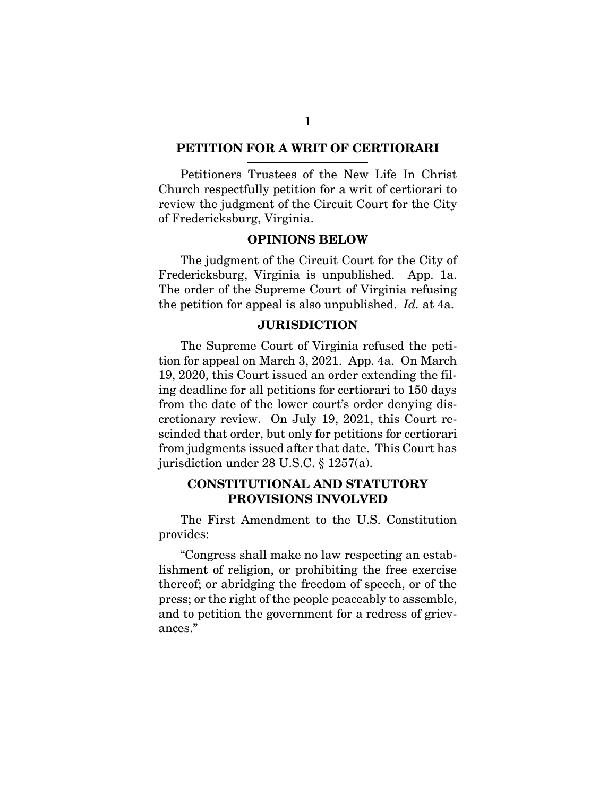#### **PETITION FOR A WRIT OF CERTIORARI**

Petitioners Trustees of the New Life In Christ Church respectfully petition for a writ of certiorari to review the judgment of the Circuit Court for the City of Fredericksburg, Virginia.

#### **OPINIONS BELOW**

The judgment of the Circuit Court for the City of Fredericksburg, Virginia is unpublished. App. 1a. The order of the Supreme Court of Virginia refusing the petition for appeal is also unpublished. *Id.* at 4a.

#### **JURISDICTION**

The Supreme Court of Virginia refused the petition for appeal on March 3, 2021. App. 4a. On March 19, 2020, this Court issued an order extending the filing deadline for all petitions for certiorari to 150 days from the date of the lower court's order denying discretionary review. On July 19, 2021, this Court rescinded that order, but only for petitions for certiorari from judgments issued after that date. This Court has jurisdiction under 28 U.S.C. § 1257(a).

#### **CONSTITUTIONAL AND STATUTORY PROVISIONS INVOLVED**

The First Amendment to the U.S. Constitution provides:

"Congress shall make no law respecting an establishment of religion, or prohibiting the free exercise thereof; or abridging the freedom of speech, or of the press; or the right of the people peaceably to assemble, and to petition the government for a redress of grievances."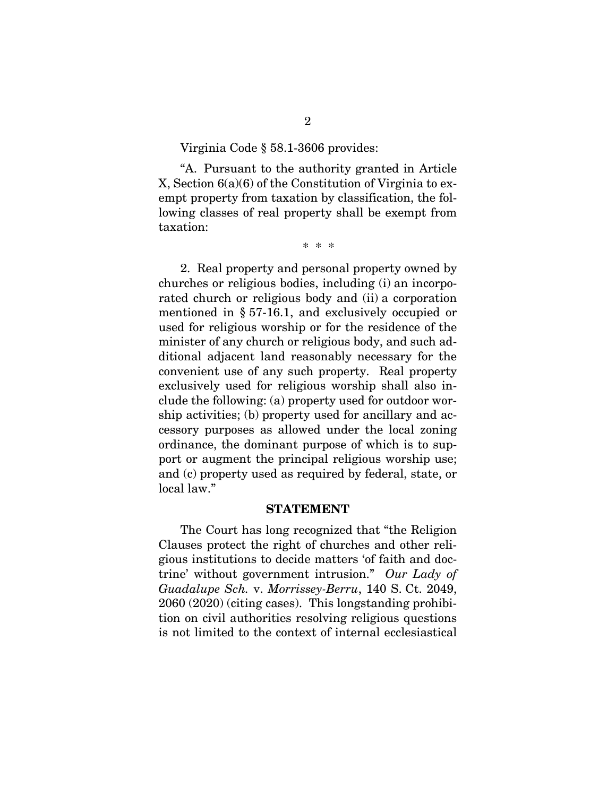#### Virginia Code § 58.1-3606 provides:

"A. Pursuant to the authority granted in Article X, Section 6(a)(6) of the Constitution of Virginia to exempt property from taxation by classification, the following classes of real property shall be exempt from taxation:

\* \* \*

2. Real property and personal property owned by churches or religious bodies, including (i) an incorporated church or religious body and (ii) a corporation mentioned in § 57-16.1, and exclusively occupied or used for religious worship or for the residence of the minister of any church or religious body, and such additional adjacent land reasonably necessary for the convenient use of any such property. Real property exclusively used for religious worship shall also include the following: (a) property used for outdoor worship activities; (b) property used for ancillary and accessory purposes as allowed under the local zoning ordinance, the dominant purpose of which is to support or augment the principal religious worship use; and (c) property used as required by federal, state, or local law."

#### **STATEMENT**

The Court has long recognized that "the Religion Clauses protect the right of churches and other religious institutions to decide matters 'of faith and doctrine' without government intrusion." *Our Lady of Guadalupe Sch.* v. *Morrissey-Berru*, 140 S. Ct. 2049, 2060 (2020) (citing cases). This longstanding prohibition on civil authorities resolving religious questions is not limited to the context of internal ecclesiastical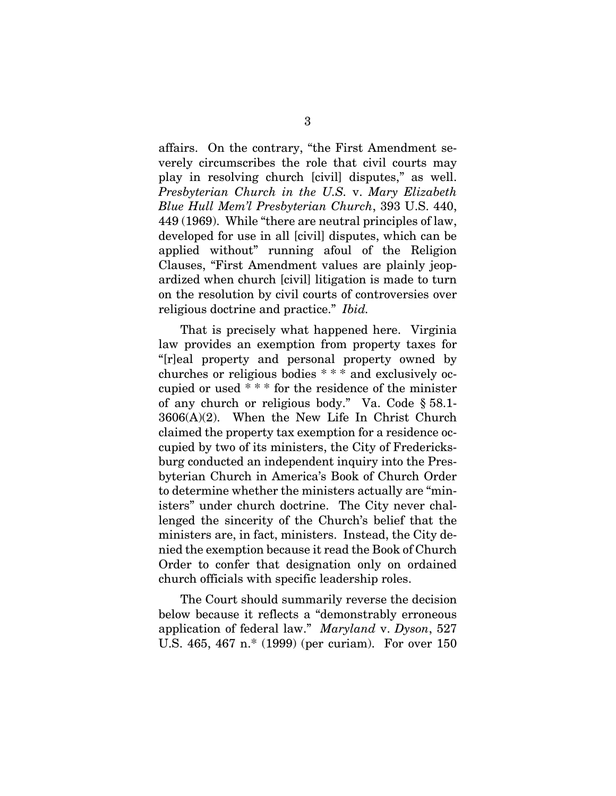affairs. On the contrary, "the First Amendment severely circumscribes the role that civil courts may play in resolving church [civil] disputes," as well. *Presbyterian Church in the U.S.* v. *Mary Elizabeth Blue Hull Mem'l Presbyterian Church*, 393 U.S. 440, 449 (1969). While "there are neutral principles of law, developed for use in all [civil] disputes, which can be applied without" running afoul of the Religion Clauses, "First Amendment values are plainly jeopardized when church [civil] litigation is made to turn on the resolution by civil courts of controversies over religious doctrine and practice." *Ibid.*

That is precisely what happened here. Virginia law provides an exemption from property taxes for "[r]eal property and personal property owned by churches or religious bodies \* \* \* and exclusively occupied or used \* \* \* for the residence of the minister of any church or religious body." Va. Code § 58.1- 3606(A)(2). When the New Life In Christ Church claimed the property tax exemption for a residence occupied by two of its ministers, the City of Fredericksburg conducted an independent inquiry into the Presbyterian Church in America's Book of Church Order to determine whether the ministers actually are "ministers" under church doctrine. The City never challenged the sincerity of the Church's belief that the ministers are, in fact, ministers. Instead, the City denied the exemption because it read the Book of Church Order to confer that designation only on ordained church officials with specific leadership roles.

The Court should summarily reverse the decision below because it reflects a "demonstrably erroneous application of federal law." *Maryland* v. *Dyson*, 527 U.S. 465, 467 n.\* (1999) (per curiam). For over 150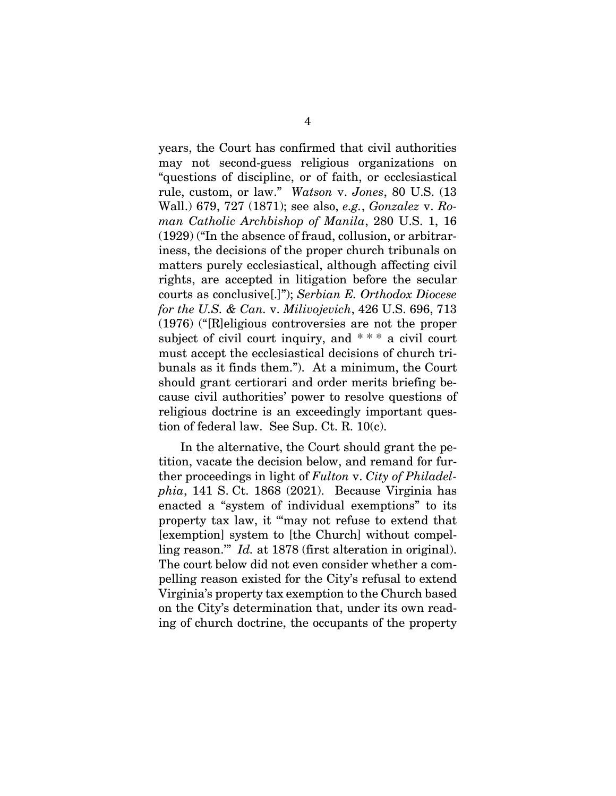years, the Court has confirmed that civil authorities may not second-guess religious organizations on "questions of discipline, or of faith, or ecclesiastical rule, custom, or law." *Watson* v. *Jones*, 80 U.S. (13 Wall.) 679, 727 (1871); see also, *e.g.*, *Gonzalez* v. *Roman Catholic Archbishop of Manila*, 280 U.S. 1, 16 (1929) ("In the absence of fraud, collusion, or arbitrariness, the decisions of the proper church tribunals on matters purely ecclesiastical, although affecting civil rights, are accepted in litigation before the secular courts as conclusive[.]"); *Serbian E. Orthodox Diocese for the U.S. & Can.* v. *Milivojevich*, 426 U.S. 696, 713 (1976) ("[R]eligious controversies are not the proper subject of civil court inquiry, and \*\*\* a civil court must accept the ecclesiastical decisions of church tribunals as it finds them."). At a minimum, the Court should grant certiorari and order merits briefing because civil authorities' power to resolve questions of religious doctrine is an exceedingly important question of federal law. See Sup. Ct. R. 10(c).

In the alternative, the Court should grant the petition, vacate the decision below, and remand for further proceedings in light of *Fulton* v. *City of Philadelphia*, 141 S. Ct. 1868 (2021). Because Virginia has enacted a "system of individual exemptions" to its property tax law, it "'may not refuse to extend that [exemption] system to [the Church] without compelling reason.'" *Id.* at 1878 (first alteration in original). The court below did not even consider whether a compelling reason existed for the City's refusal to extend Virginia's property tax exemption to the Church based on the City's determination that, under its own reading of church doctrine, the occupants of the property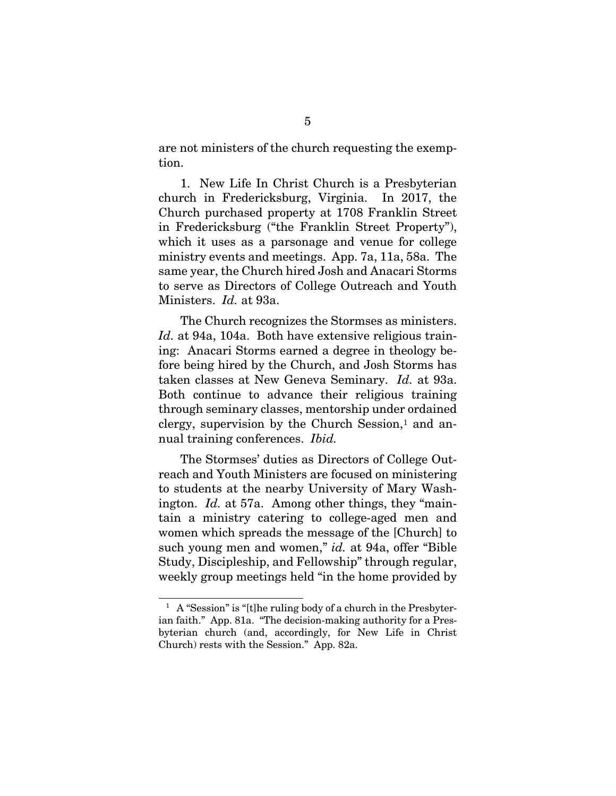are not ministers of the church requesting the exemption.

1. New Life In Christ Church is a Presbyterian church in Fredericksburg, Virginia. In 2017, the Church purchased property at 1708 Franklin Street in Fredericksburg ("the Franklin Street Property"), which it uses as a parsonage and venue for college ministry events and meetings. App. 7a, 11a, 58a. The same year, the Church hired Josh and Anacari Storms to serve as Directors of College Outreach and Youth Ministers. *Id.* at 93a.

The Church recognizes the Stormses as ministers. *Id.* at 94a, 104a. Both have extensive religious training: Anacari Storms earned a degree in theology before being hired by the Church, and Josh Storms has taken classes at New Geneva Seminary. *Id.* at 93a. Both continue to advance their religious training through seminary classes, mentorship under ordained clergy, supervision by the Church Session, $<sup>1</sup>$  and an-</sup> nual training conferences. *Ibid.*

The Stormses' duties as Directors of College Outreach and Youth Ministers are focused on ministering to students at the nearby University of Mary Washington. *Id.* at 57a. Among other things, they "maintain a ministry catering to college-aged men and women which spreads the message of the [Church] to such young men and women," *id.* at 94a, offer "Bible Study, Discipleship, and Fellowship" through regular, weekly group meetings held "in the home provided by

l

<sup>&</sup>lt;sup>1</sup> A "Session" is "[t]he ruling body of a church in the Presbyterian faith." App. 81a. "The decision-making authority for a Presbyterian church (and, accordingly, for New Life in Christ Church) rests with the Session." App. 82a.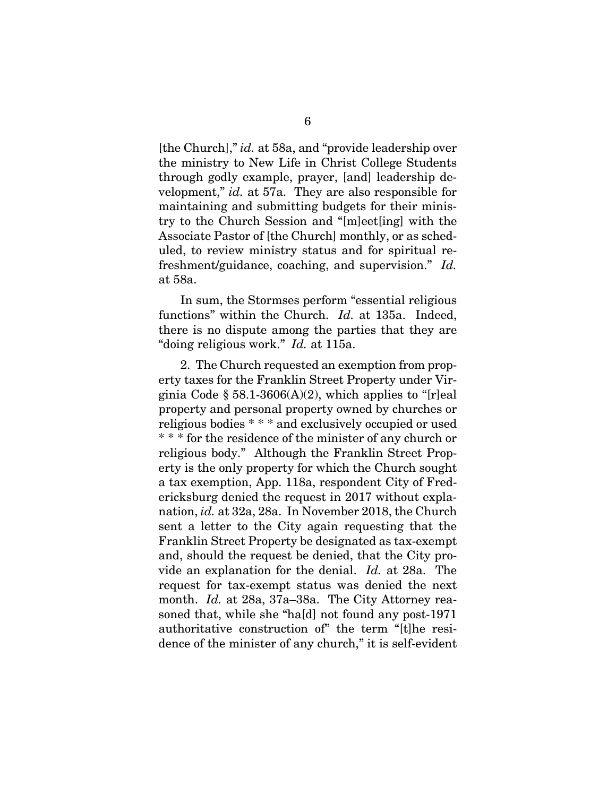[the Church]," *id.* at 58a, and "provide leadership over the ministry to New Life in Christ College Students through godly example, prayer, [and] leadership development," *id.* at 57a. They are also responsible for maintaining and submitting budgets for their ministry to the Church Session and "[m]eet[ing] with the Associate Pastor of [the Church] monthly, or as scheduled, to review ministry status and for spiritual refreshment/guidance, coaching, and supervision." *Id.*  at 58a.

In sum, the Stormses perform "essential religious functions" within the Church. *Id.* at 135a. Indeed, there is no dispute among the parties that they are "doing religious work." *Id.* at 115a.

2. The Church requested an exemption from property taxes for the Franklin Street Property under Virginia Code  $\S 58.1-3606(A)(2)$ , which applies to "[r]eal property and personal property owned by churches or religious bodies \* \* \* and exclusively occupied or used \* \* \* for the residence of the minister of any church or religious body." Although the Franklin Street Property is the only property for which the Church sought a tax exemption, App. 118a, respondent City of Fredericksburg denied the request in 2017 without explanation, *id.* at 32a, 28a. In November 2018, the Church sent a letter to the City again requesting that the Franklin Street Property be designated as tax-exempt and, should the request be denied, that the City provide an explanation for the denial. *Id.* at 28a. The request for tax-exempt status was denied the next month. *Id.* at 28a, 37a–38a. The City Attorney reasoned that, while she "ha[d] not found any post-1971 authoritative construction of" the term "[t]he residence of the minister of any church," it is self-evident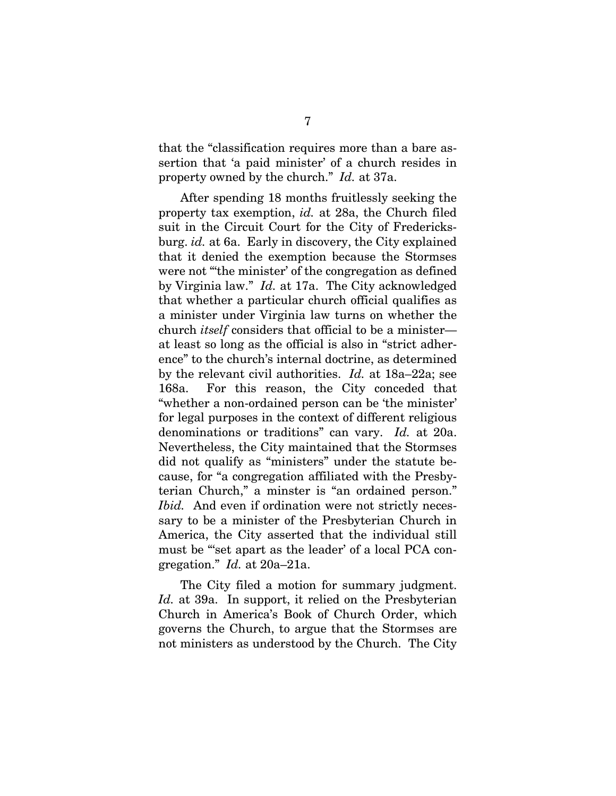that the "classification requires more than a bare assertion that 'a paid minister' of a church resides in property owned by the church." *Id.* at 37a.

After spending 18 months fruitlessly seeking the property tax exemption, *id.* at 28a, the Church filed suit in the Circuit Court for the City of Fredericksburg. *id.* at 6a. Early in discovery, the City explained that it denied the exemption because the Stormses were not "the minister' of the congregation as defined by Virginia law." *Id.* at 17a. The City acknowledged that whether a particular church official qualifies as a minister under Virginia law turns on whether the church *itself* considers that official to be a minister at least so long as the official is also in "strict adherence" to the church's internal doctrine, as determined by the relevant civil authorities. *Id.* at 18a–22a; see 168a. For this reason, the City conceded that "whether a non-ordained person can be 'the minister' for legal purposes in the context of different religious denominations or traditions" can vary. *Id.* at 20a. Nevertheless, the City maintained that the Stormses did not qualify as "ministers" under the statute because, for "a congregation affiliated with the Presbyterian Church," a minster is "an ordained person." *Ibid.* And even if ordination were not strictly necessary to be a minister of the Presbyterian Church in America, the City asserted that the individual still must be "set apart as the leader' of a local PCA congregation." *Id.* at 20a–21a.

The City filed a motion for summary judgment. Id. at 39a. In support, it relied on the Presbyterian Church in America's Book of Church Order, which governs the Church, to argue that the Stormses are not ministers as understood by the Church. The City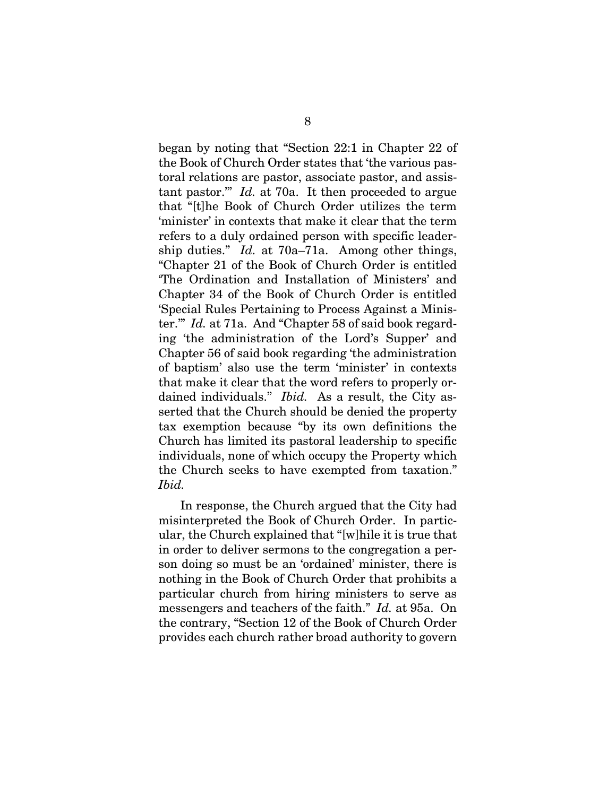began by noting that "Section 22:1 in Chapter 22 of the Book of Church Order states that 'the various pastoral relations are pastor, associate pastor, and assistant pastor.'" *Id.* at 70a. It then proceeded to argue that "[t]he Book of Church Order utilizes the term 'minister' in contexts that make it clear that the term refers to a duly ordained person with specific leadership duties." *Id.* at 70a–71a. Among other things, "Chapter 21 of the Book of Church Order is entitled 'The Ordination and Installation of Ministers' and Chapter 34 of the Book of Church Order is entitled 'Special Rules Pertaining to Process Against a Minister.'" *Id.* at 71a. And "Chapter 58 of said book regarding 'the administration of the Lord's Supper' and Chapter 56 of said book regarding 'the administration of baptism' also use the term 'minister' in contexts that make it clear that the word refers to properly ordained individuals." *Ibid.* As a result, the City asserted that the Church should be denied the property tax exemption because "by its own definitions the Church has limited its pastoral leadership to specific individuals, none of which occupy the Property which the Church seeks to have exempted from taxation." *Ibid.*

In response, the Church argued that the City had misinterpreted the Book of Church Order. In particular, the Church explained that "[w]hile it is true that in order to deliver sermons to the congregation a person doing so must be an 'ordained' minister, there is nothing in the Book of Church Order that prohibits a particular church from hiring ministers to serve as messengers and teachers of the faith." *Id.* at 95a. On the contrary, "Section 12 of the Book of Church Order provides each church rather broad authority to govern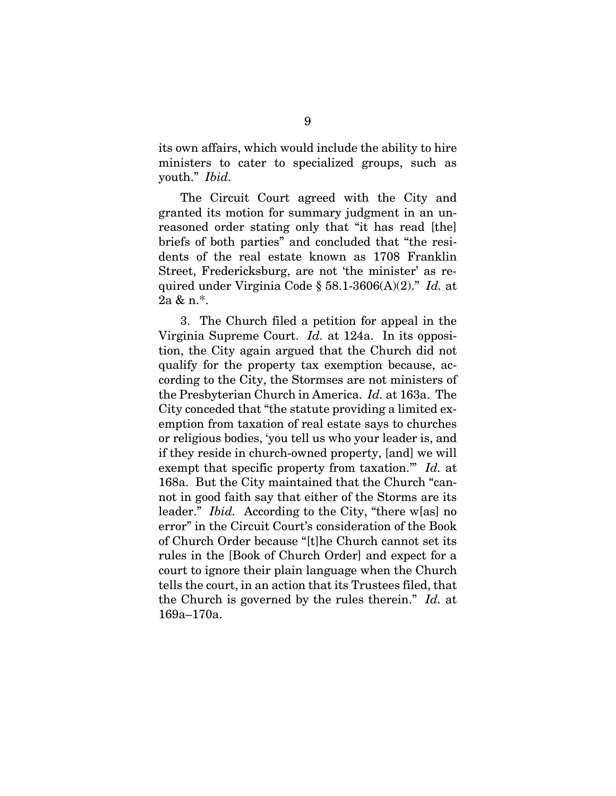its own affairs, which would include the ability to hire ministers to cater to specialized groups, such as youth." *Ibid.*

The Circuit Court agreed with the City and granted its motion for summary judgment in an unreasoned order stating only that "it has read [the] briefs of both parties" and concluded that "the residents of the real estate known as 1708 Franklin Street, Fredericksburg, are not 'the minister' as required under Virginia Code § 58.1-3606(A)(2)." *Id.* at  $2a \& n.*$ .

3. The Church filed a petition for appeal in the Virginia Supreme Court. *Id.* at 124a. In its opposition, the City again argued that the Church did not qualify for the property tax exemption because, according to the City, the Stormses are not ministers of the Presbyterian Church in America. *Id.* at 163a. The City conceded that "the statute providing a limited exemption from taxation of real estate says to churches or religious bodies, 'you tell us who your leader is, and if they reside in church-owned property, [and] we will exempt that specific property from taxation.'" *Id.* at 168a. But the City maintained that the Church "cannot in good faith say that either of the Storms are its leader." *Ibid.* According to the City, "there w[as] no error" in the Circuit Court's consideration of the Book of Church Order because "[t]he Church cannot set its rules in the [Book of Church Order] and expect for a court to ignore their plain language when the Church tells the court, in an action that its Trustees filed, that the Church is governed by the rules therein." *Id.* at 169a–170a.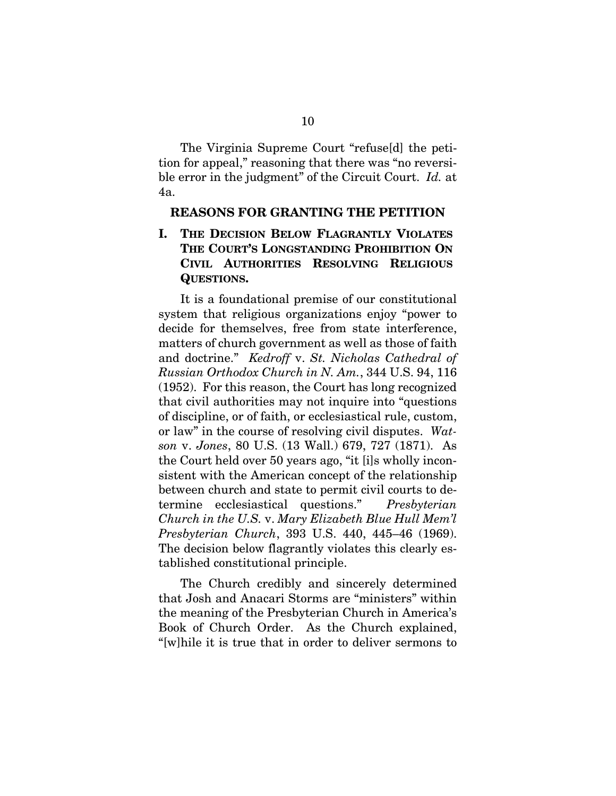The Virginia Supreme Court "refuse[d] the petition for appeal," reasoning that there was "no reversible error in the judgment" of the Circuit Court. *Id.* at 4a.

#### **REASONS FOR GRANTING THE PETITION**

**I. THE DECISION BELOW FLAGRANTLY VIOLATES THE COURT'S LONGSTANDING PROHIBITION ON CIVIL AUTHORITIES RESOLVING RELIGIOUS QUESTIONS.** 

It is a foundational premise of our constitutional system that religious organizations enjoy "power to decide for themselves, free from state interference, matters of church government as well as those of faith and doctrine." *Kedroff* v. *St. Nicholas Cathedral of Russian Orthodox Church in N. Am.*, 344 U.S. 94, 116 (1952). For this reason, the Court has long recognized that civil authorities may not inquire into "questions of discipline, or of faith, or ecclesiastical rule, custom, or law" in the course of resolving civil disputes. *Watson* v. *Jones*, 80 U.S. (13 Wall.) 679, 727 (1871). As the Court held over 50 years ago, "it [i]s wholly inconsistent with the American concept of the relationship between church and state to permit civil courts to determine ecclesiastical questions." *Presbyterian Church in the U.S.* v. *Mary Elizabeth Blue Hull Mem'l Presbyterian Church*, 393 U.S. 440, 445–46 (1969). The decision below flagrantly violates this clearly established constitutional principle.

The Church credibly and sincerely determined that Josh and Anacari Storms are "ministers" within the meaning of the Presbyterian Church in America's Book of Church Order. As the Church explained, "[w]hile it is true that in order to deliver sermons to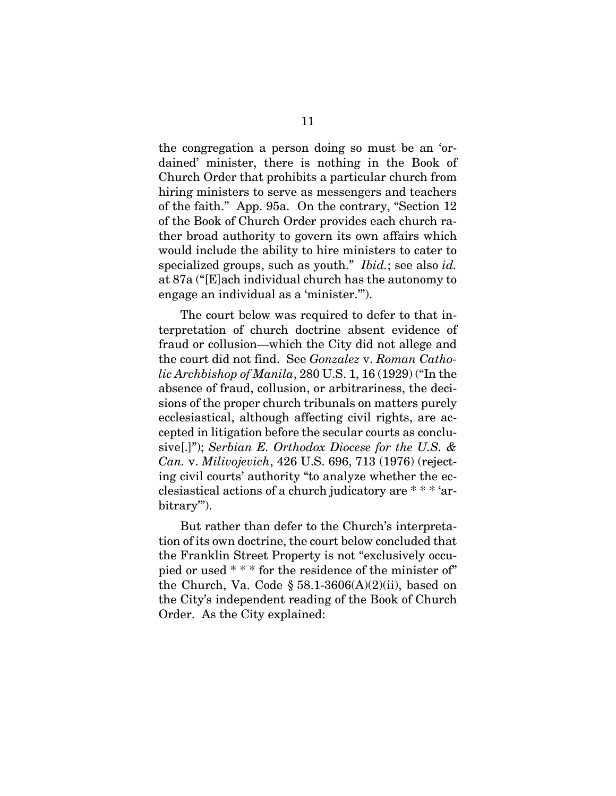the congregation a person doing so must be an 'ordained' minister, there is nothing in the Book of Church Order that prohibits a particular church from hiring ministers to serve as messengers and teachers of the faith." App. 95a. On the contrary, "Section 12 of the Book of Church Order provides each church rather broad authority to govern its own affairs which would include the ability to hire ministers to cater to specialized groups, such as youth." *Ibid.*; see also *id.*  at 87a ("[E]ach individual church has the autonomy to engage an individual as a 'minister.'").

The court below was required to defer to that interpretation of church doctrine absent evidence of fraud or collusion—which the City did not allege and the court did not find. See *Gonzalez* v. *Roman Catholic Archbishop of Manila*, 280 U.S. 1, 16 (1929) ("In the absence of fraud, collusion, or arbitrariness, the decisions of the proper church tribunals on matters purely ecclesiastical, although affecting civil rights, are accepted in litigation before the secular courts as conclusive[.]"); *Serbian E. Orthodox Diocese for the U.S. & Can.* v. *Milivojevich*, 426 U.S. 696, 713 (1976) (rejecting civil courts' authority "to analyze whether the ecclesiastical actions of a church judicatory are \* \* \* 'arbitrary'").

But rather than defer to the Church's interpretation of its own doctrine, the court below concluded that the Franklin Street Property is not "exclusively occupied or used \* \* \* for the residence of the minister of" the Church, Va. Code  $\S$  58.1-3606(A)(2)(ii), based on the City's independent reading of the Book of Church Order. As the City explained: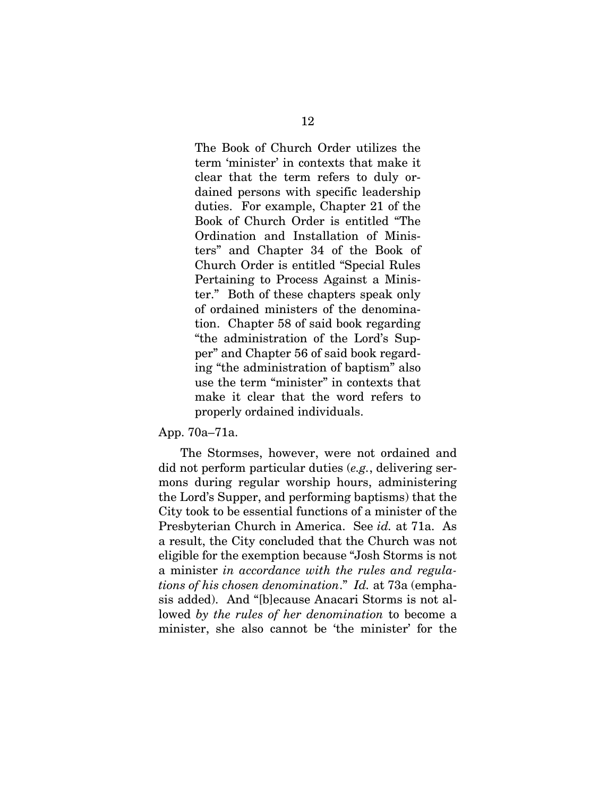The Book of Church Order utilizes the term 'minister' in contexts that make it clear that the term refers to duly ordained persons with specific leadership duties. For example, Chapter 21 of the Book of Church Order is entitled "The Ordination and Installation of Ministers" and Chapter 34 of the Book of Church Order is entitled "Special Rules Pertaining to Process Against a Minister." Both of these chapters speak only of ordained ministers of the denomination. Chapter 58 of said book regarding "the administration of the Lord's Supper" and Chapter 56 of said book regarding "the administration of baptism" also use the term "minister" in contexts that make it clear that the word refers to properly ordained individuals.

#### App. 70a–71a.

The Stormses, however, were not ordained and did not perform particular duties (*e.g.*, delivering sermons during regular worship hours, administering the Lord's Supper, and performing baptisms) that the City took to be essential functions of a minister of the Presbyterian Church in America. See *id.* at 71a. As a result, the City concluded that the Church was not eligible for the exemption because "Josh Storms is not a minister *in accordance with the rules and regulations of his chosen denomination*." *Id.* at 73a (emphasis added). And "[b]ecause Anacari Storms is not allowed *by the rules of her denomination* to become a minister, she also cannot be 'the minister' for the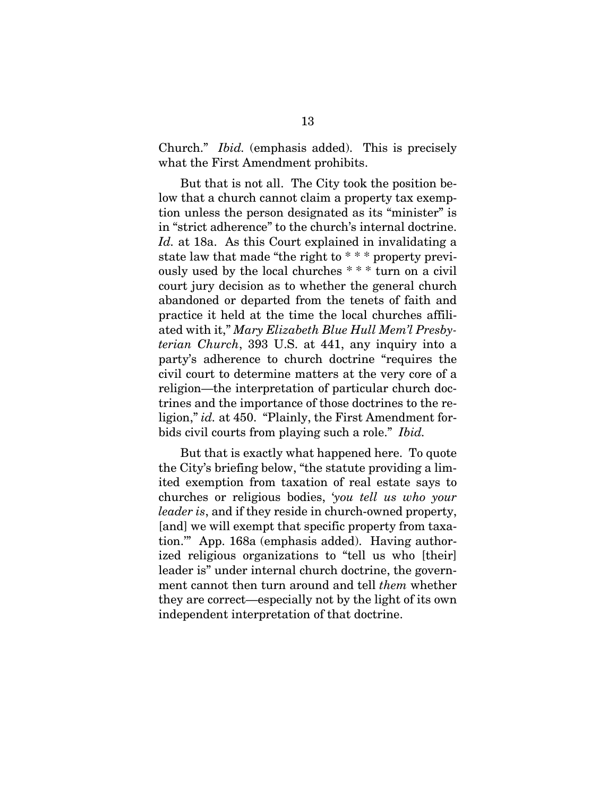Church." *Ibid.* (emphasis added). This is precisely what the First Amendment prohibits.

But that is not all. The City took the position below that a church cannot claim a property tax exemption unless the person designated as its "minister" is in "strict adherence" to the church's internal doctrine. *Id.* at 18a. As this Court explained in invalidating a state law that made "the right to \* \* \* property previously used by the local churches \* \* \* turn on a civil court jury decision as to whether the general church abandoned or departed from the tenets of faith and practice it held at the time the local churches affiliated with it," *Mary Elizabeth Blue Hull Mem'l Presbyterian Church*, 393 U.S. at 441, any inquiry into a party's adherence to church doctrine "requires the civil court to determine matters at the very core of a religion—the interpretation of particular church doctrines and the importance of those doctrines to the religion," *id.* at 450. "Plainly, the First Amendment forbids civil courts from playing such a role." *Ibid.*

But that is exactly what happened here. To quote the City's briefing below, "the statute providing a limited exemption from taxation of real estate says to churches or religious bodies, '*you tell us who your leader is*, and if they reside in church-owned property, [and] we will exempt that specific property from taxation.'" App. 168a (emphasis added). Having authorized religious organizations to "tell us who [their] leader is" under internal church doctrine, the government cannot then turn around and tell *them* whether they are correct—especially not by the light of its own independent interpretation of that doctrine.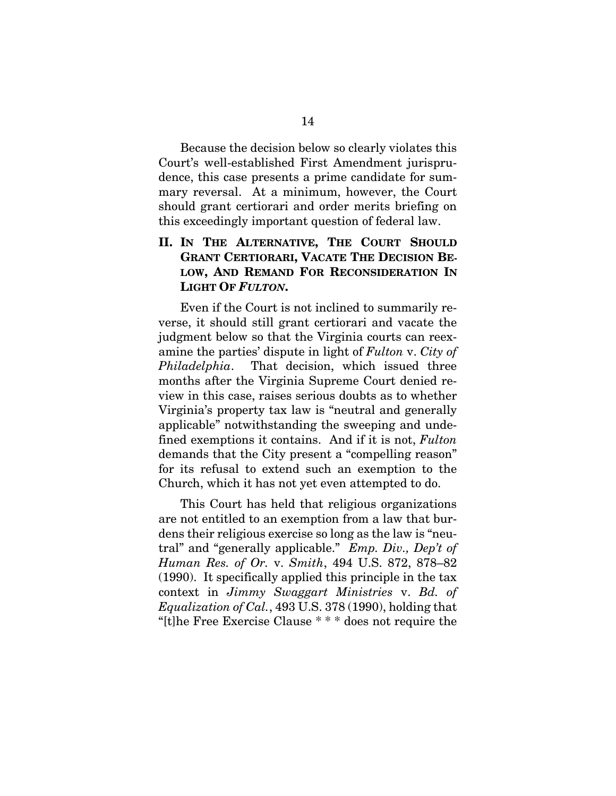Because the decision below so clearly violates this Court's well-established First Amendment jurisprudence, this case presents a prime candidate for summary reversal. At a minimum, however, the Court should grant certiorari and order merits briefing on this exceedingly important question of federal law.

### **II. IN THE ALTERNATIVE, THE COURT SHOULD GRANT CERTIORARI, VACATE THE DECISION BE-LOW, AND REMAND FOR RECONSIDERATION IN LIGHT OF** *FULTON***.**

Even if the Court is not inclined to summarily reverse, it should still grant certiorari and vacate the judgment below so that the Virginia courts can reexamine the parties' dispute in light of *Fulton* v. *City of Philadelphia*. That decision, which issued three months after the Virginia Supreme Court denied review in this case, raises serious doubts as to whether Virginia's property tax law is "neutral and generally applicable" notwithstanding the sweeping and undefined exemptions it contains. And if it is not, *Fulton*  demands that the City present a "compelling reason" for its refusal to extend such an exemption to the Church, which it has not yet even attempted to do.

This Court has held that religious organizations are not entitled to an exemption from a law that burdens their religious exercise so long as the law is "neutral" and "generally applicable." *Emp. Div., Dep't of Human Res. of Or.* v. *Smith*, 494 U.S. 872, 878–82 (1990). It specifically applied this principle in the tax context in *Jimmy Swaggart Ministries* v. *Bd. of Equalization of Cal.*, 493 U.S. 378 (1990), holding that "[t]he Free Exercise Clause \* \* \* does not require the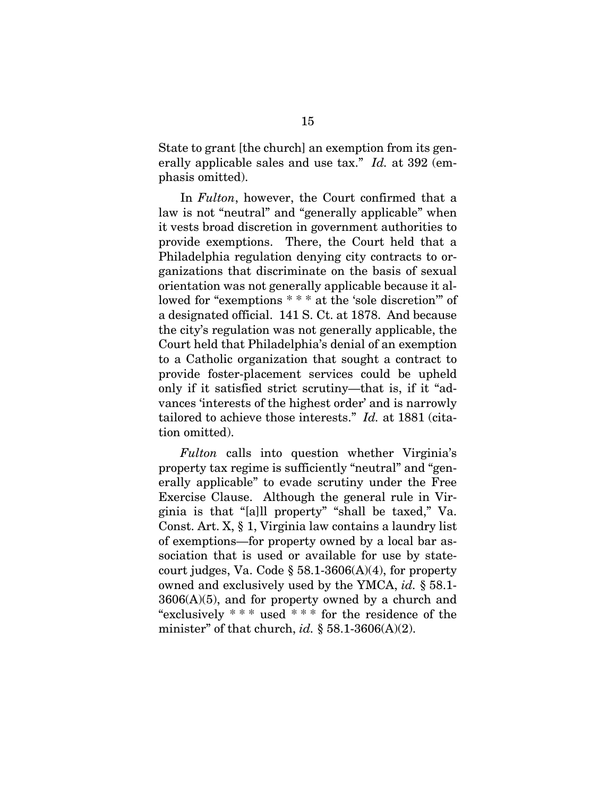State to grant [the church] an exemption from its generally applicable sales and use tax." *Id.* at 392 (emphasis omitted).

In *Fulton*, however, the Court confirmed that a law is not "neutral" and "generally applicable" when it vests broad discretion in government authorities to provide exemptions. There, the Court held that a Philadelphia regulation denying city contracts to organizations that discriminate on the basis of sexual orientation was not generally applicable because it allowed for "exemptions \* \* \* at the 'sole discretion'" of a designated official. 141 S. Ct. at 1878. And because the city's regulation was not generally applicable, the Court held that Philadelphia's denial of an exemption to a Catholic organization that sought a contract to provide foster-placement services could be upheld only if it satisfied strict scrutiny—that is, if it "advances 'interests of the highest order' and is narrowly tailored to achieve those interests." *Id.* at 1881 (citation omitted).

*Fulton* calls into question whether Virginia's property tax regime is sufficiently "neutral" and "generally applicable" to evade scrutiny under the Free Exercise Clause. Although the general rule in Virginia is that "[a]ll property" "shall be taxed," Va. Const. Art. X, § 1, Virginia law contains a laundry list of exemptions—for property owned by a local bar association that is used or available for use by statecourt judges, Va. Code  $\S 58.1-3606(A)(4)$ , for property owned and exclusively used by the YMCA, *id.* § 58.1-  $3606(A)(5)$ , and for property owned by a church and "exclusively  $***$  used  $***$  for the residence of the minister" of that church, *id.* § 58.1-3606(A)(2).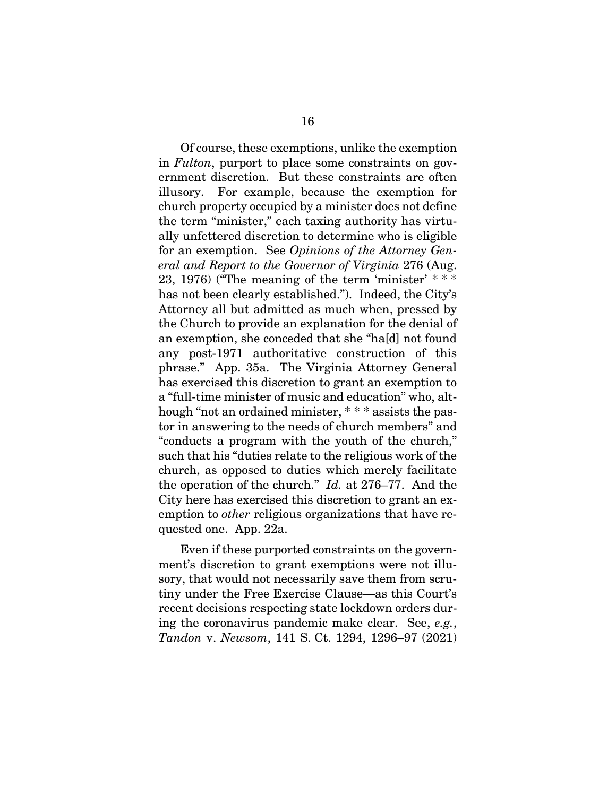Of course, these exemptions, unlike the exemption in *Fulton*, purport to place some constraints on government discretion. But these constraints are often illusory. For example, because the exemption for church property occupied by a minister does not define the term "minister," each taxing authority has virtually unfettered discretion to determine who is eligible for an exemption. See *Opinions of the Attorney General and Report to the Governor of Virginia* 276 (Aug. 23, 1976) ("The meaning of the term 'minister'  $***$ has not been clearly established."). Indeed, the City's Attorney all but admitted as much when, pressed by the Church to provide an explanation for the denial of an exemption, she conceded that she "ha[d] not found any post-1971 authoritative construction of this phrase." App. 35a. The Virginia Attorney General has exercised this discretion to grant an exemption to a "full-time minister of music and education" who, although "not an ordained minister, \* \* \* assists the pastor in answering to the needs of church members" and "conducts a program with the youth of the church," such that his "duties relate to the religious work of the church, as opposed to duties which merely facilitate the operation of the church." *Id.* at 276–77. And the City here has exercised this discretion to grant an exemption to *other* religious organizations that have requested one. App. 22a.

Even if these purported constraints on the government's discretion to grant exemptions were not illusory, that would not necessarily save them from scrutiny under the Free Exercise Clause—as this Court's recent decisions respecting state lockdown orders during the coronavirus pandemic make clear. See, *e.g.*, *Tandon* v. *Newsom*, 141 S. Ct. 1294, 1296–97 (2021)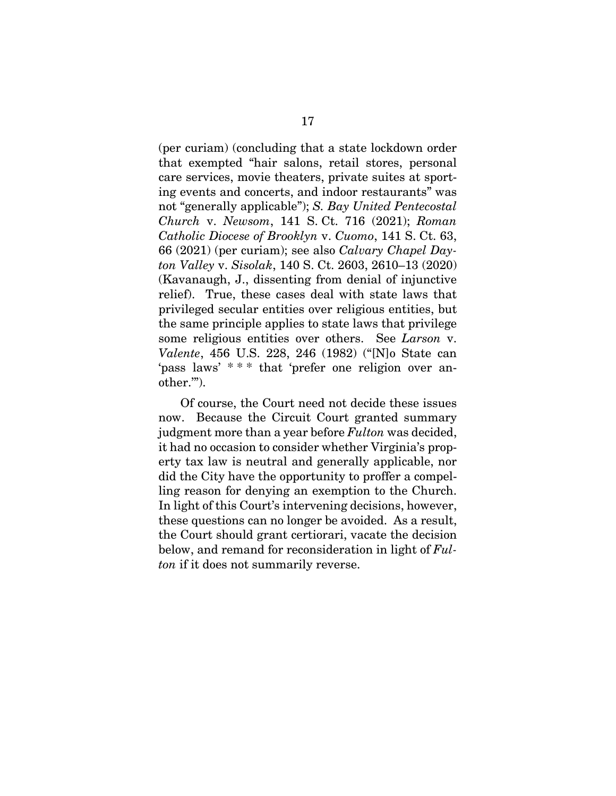(per curiam) (concluding that a state lockdown order that exempted "hair salons, retail stores, personal care services, movie theaters, private suites at sporting events and concerts, and indoor restaurants" was not "generally applicable"); *S. Bay United Pentecostal Church* v. *Newsom*, 141 S. Ct. 716 (2021); *Roman Catholic Diocese of Brooklyn* v. *Cuomo*, 141 S. Ct. 63, 66 (2021) (per curiam); see also *Calvary Chapel Dayton Valley* v. *Sisolak*, 140 S. Ct. 2603, 2610–13 (2020) (Kavanaugh, J., dissenting from denial of injunctive relief). True, these cases deal with state laws that privileged secular entities over religious entities, but the same principle applies to state laws that privilege some religious entities over others. See *Larson* v. *Valente*, 456 U.S. 228, 246 (1982) ("[N]o State can 'pass laws' \* \* \* that 'prefer one religion over another.'").

Of course, the Court need not decide these issues now. Because the Circuit Court granted summary judgment more than a year before *Fulton* was decided, it had no occasion to consider whether Virginia's property tax law is neutral and generally applicable, nor did the City have the opportunity to proffer a compelling reason for denying an exemption to the Church. In light of this Court's intervening decisions, however, these questions can no longer be avoided. As a result, the Court should grant certiorari, vacate the decision below, and remand for reconsideration in light of *Fulton* if it does not summarily reverse.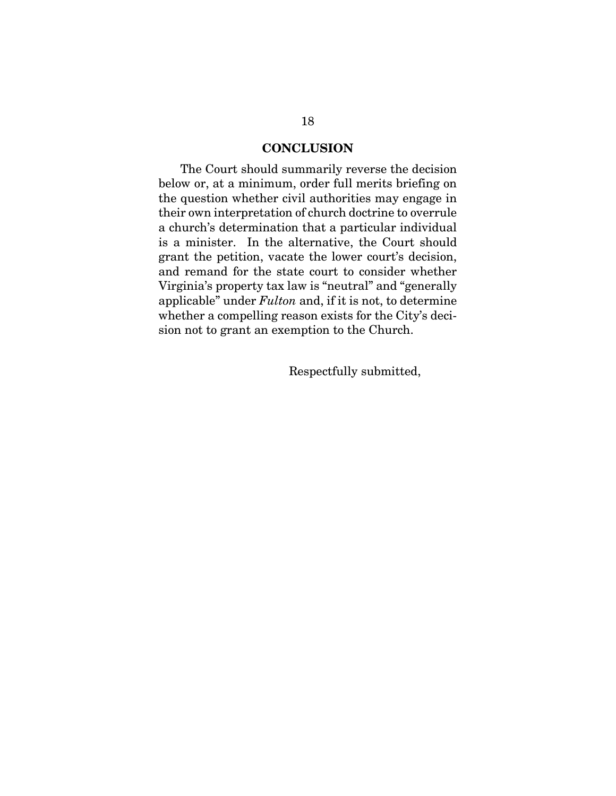#### **CONCLUSION**

The Court should summarily reverse the decision below or, at a minimum, order full merits briefing on the question whether civil authorities may engage in their own interpretation of church doctrine to overrule a church's determination that a particular individual is a minister. In the alternative, the Court should grant the petition, vacate the lower court's decision, and remand for the state court to consider whether Virginia's property tax law is "neutral" and "generally applicable" under *Fulton* and, if it is not, to determine whether a compelling reason exists for the City's decision not to grant an exemption to the Church.

Respectfully submitted,